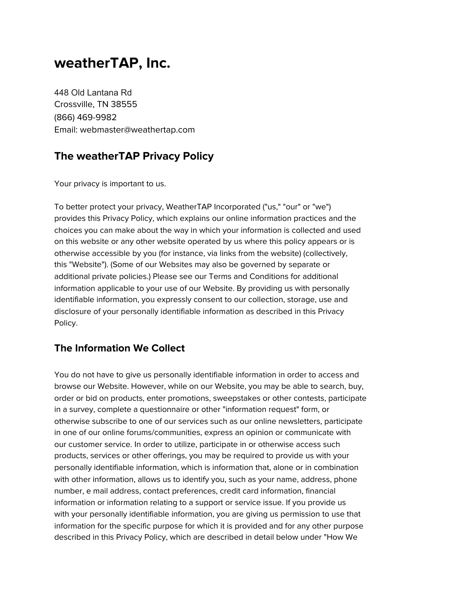# **weatherTAP, Inc.**

448 Old Lantana Rd Crossville, TN 38555 (866) 469-9982 Email: webmaster@weathertap.com

# **The weatherTAP Privacy Policy**

Your privacy is important to us.

To better protect your privacy, WeatherTAP Incorporated ("us," "our" or "we") provides this Privacy Policy, which explains our online information practices and the choices you can make about the way in which your information is collected and used on this website or any other website operated by us where this policy appears or is otherwise accessible by you (for instance, via links from the website) (collectively, this "Website"). (Some of our Websites may also be governed by separate or additional private policies.) Please see our Terms and Conditions for additional information applicable to your use of our Website. By providing us with personally identifiable information, you expressly consent to our collection, storage, use and disclosure of your personally identifiable information as described in this Privacy Policy.

## **The Information We Collect**

You do not have to give us personally identifiable information in order to access and browse our Website. However, while on our Website, you may be able to search, buy, order or bid on products, enter promotions, sweepstakes or other contests, participate in a survey, complete a questionnaire or other "information request" form, or otherwise subscribe to one of our services such as our online newsletters, participate in one of our online forums/communities, express an opinion or communicate with our customer service. In order to utilize, participate in or otherwise access such products, services or other offerings, you may be required to provide us with your personally identifiable information, which is information that, alone or in combination with other information, allows us to identify you, such as your name, address, phone number, e mail address, contact preferences, credit card information, financial information or information relating to a support or service issue. If you provide us with your personally identifiable information, you are giving us permission to use that information for the specific purpose for which it is provided and for any other purpose described in this Privacy Policy, which are described in detail below under "How We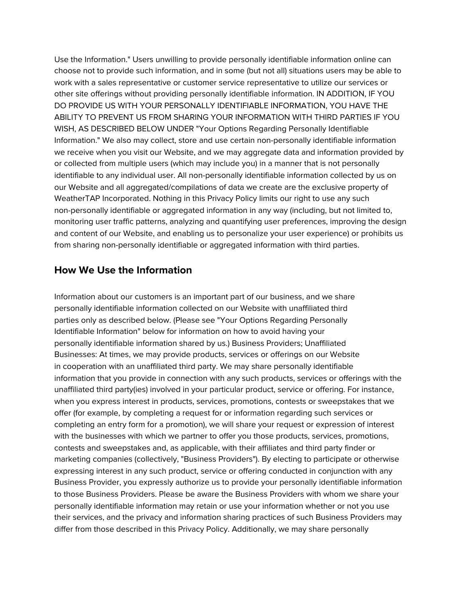Use the Information." Users unwilling to provide personally identifiable information online can choose not to provide such information, and in some (but not all) situations users may be able to work with a sales representative or customer service representative to utilize our services or other site offerings without providing personally identifiable information. IN ADDITION, IF YOU DO PROVIDE US WITH YOUR PERSONALLY IDENTIFIABLE INFORMATION, YOU HAVE THE ABILITY TO PREVENT US FROM SHARING YOUR INFORMATION WITH THIRD PARTIES IF YOU WISH, AS DESCRIBED BELOW UNDER "Your Options Regarding Personally Identifiable Information." We also may collect, store and use certain non-personally identifiable information we receive when you visit our Website, and we may aggregate data and information provided by or collected from multiple users (which may include you) in a manner that is not personally identifiable to any individual user. All non-personally identifiable information collected by us on our Website and all aggregated/compilations of data we create are the exclusive property of WeatherTAP Incorporated. Nothing in this Privacy Policy limits our right to use any such non-personally identifiable or aggregated information in any way (including, but not limited to, monitoring user traffic patterns, analyzing and quantifying user preferences, improving the design and content of our Website, and enabling us to personalize your user experience) or prohibits us from sharing non-personally identifiable or aggregated information with third parties.

#### **How We Use the Information**

Information about our customers is an important part of our business, and we share personally identifiable information collected on our Website with unaffiliated third parties only as described below. (Please see "Your Options Regarding Personally Identifiable Information" below for information on how to avoid having your personally identifiable information shared by us.) Business Providers; Unaffiliated Businesses: At times, we may provide products, services or offerings on our Website in cooperation with an unaffiliated third party. We may share personally identifiable information that you provide in connection with any such products, services or offerings with the unaffiliated third party(ies) involved in your particular product, service or offering. For instance, when you express interest in products, services, promotions, contests or sweepstakes that we offer (for example, by completing a request for or information regarding such services or completing an entry form for a promotion), we will share your request or expression of interest with the businesses with which we partner to offer you those products, services, promotions, contests and sweepstakes and, as applicable, with their affiliates and third party finder or marketing companies (collectively, "Business Providers"). By electing to participate or otherwise expressing interest in any such product, service or offering conducted in conjunction with any Business Provider, you expressly authorize us to provide your personally identifiable information to those Business Providers. Please be aware the Business Providers with whom we share your personally identifiable information may retain or use your information whether or not you use their services, and the privacy and information sharing practices of such Business Providers may differ from those described in this Privacy Policy. Additionally, we may share personally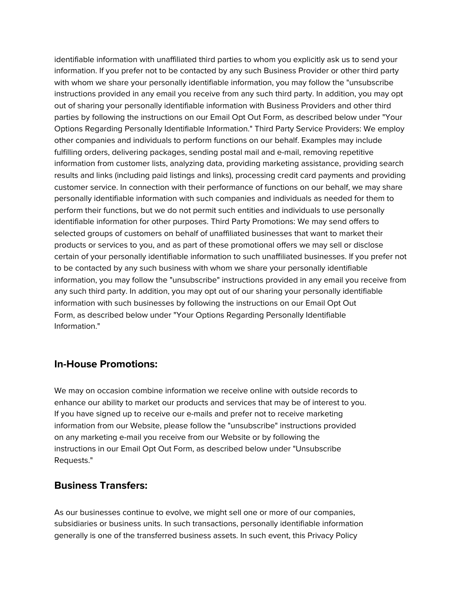identifiable information with unaffiliated third parties to whom you explicitly ask us to send your information. If you prefer not to be contacted by any such Business Provider or other third party with whom we share your personally identifiable information, you may follow the "unsubscribe instructions provided in any email you receive from any such third party. In addition, you may opt out of sharing your personally identifiable information with Business Providers and other third parties by following the instructions on our Email Opt Out Form, as described below under "Your Options Regarding Personally Identifiable Information." Third Party Service Providers: We employ other companies and individuals to perform functions on our behalf. Examples may include fulfilling orders, delivering packages, sending postal mail and e-mail, removing repetitive information from customer lists, analyzing data, providing marketing assistance, providing search results and links (including paid listings and links), processing credit card payments and providing customer service. In connection with their performance of functions on our behalf, we may share personally identifiable information with such companies and individuals as needed for them to perform their functions, but we do not permit such entities and individuals to use personally identifiable information for other purposes. Third Party Promotions: We may send offers to selected groups of customers on behalf of unaffiliated businesses that want to market their products or services to you, and as part of these promotional offers we may sell or disclose certain of your personally identifiable information to such unaffiliated businesses. If you prefer not to be contacted by any such business with whom we share your personally identifiable information, you may follow the "unsubscribe" instructions provided in any email you receive from any such third party. In addition, you may opt out of our sharing your personally identifiable information with such businesses by following the instructions on our Email Opt Out Form, as described below under "Your Options Regarding Personally Identifiable Information."

#### **In-House Promotions:**

We may on occasion combine information we receive online with outside records to enhance our ability to market our products and services that may be of interest to you. If you have signed up to receive our e-mails and prefer not to receive marketing information from our Website, please follow the "unsubscribe" instructions provided on any marketing e-mail you receive from our Website or by following the instructions in our Email Opt Out Form, as described below under "Unsubscribe Requests."

#### **Business Transfers:**

As our businesses continue to evolve, we might sell one or more of our companies, subsidiaries or business units. In such transactions, personally identifiable information generally is one of the transferred business assets. In such event, this Privacy Policy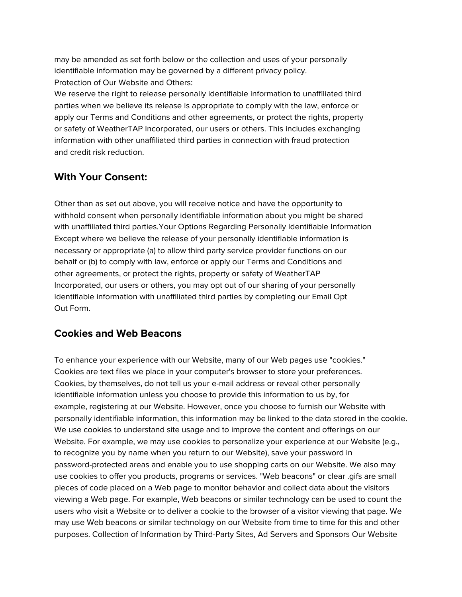may be amended as set forth below or the collection and uses of your personally identifiable information may be governed by a different privacy policy. Protection of Our Website and Others:

We reserve the right to release personally identifiable information to unaffiliated third parties when we believe its release is appropriate to comply with the law, enforce or apply our Terms and Conditions and other agreements, or protect the rights, property or safety of WeatherTAP Incorporated, our users or others. This includes exchanging information with other unaffiliated third parties in connection with fraud protection and credit risk reduction.

## **With Your Consent:**

Other than as set out above, you will receive notice and have the opportunity to withhold consent when personally identifiable information about you might be shared with unaffiliated third parties.Your Options Regarding Personally Identifiable Information Except where we believe the release of your personally identifiable information is necessary or appropriate (a) to allow third party service provider functions on our behalf or (b) to comply with law, enforce or apply our Terms and Conditions and other agreements, or protect the rights, property or safety of WeatherTAP Incorporated, our users or others, you may opt out of our sharing of your personally identifiable information with unaffiliated third parties by completing our Email Opt Out Form.

## **Cookies and Web Beacons**

To enhance your experience with our Website, many of our Web pages use "cookies." Cookies are text files we place in your computer's browser to store your preferences. Cookies, by themselves, do not tell us your e-mail address or reveal other personally identifiable information unless you choose to provide this information to us by, for example, registering at our Website. However, once you choose to furnish our Website with personally identifiable information, this information may be linked to the data stored in the cookie. We use cookies to understand site usage and to improve the content and offerings on our Website. For example, we may use cookies to personalize your experience at our Website (e.g., to recognize you by name when you return to our Website), save your password in password-protected areas and enable you to use shopping carts on our Website. We also may use cookies to offer you products, programs or services. "Web beacons" or clear .gifs are small pieces of code placed on a Web page to monitor behavior and collect data about the visitors viewing a Web page. For example, Web beacons or similar technology can be used to count the users who visit a Website or to deliver a cookie to the browser of a visitor viewing that page. We may use Web beacons or similar technology on our Website from time to time for this and other purposes. Collection of Information by Third-Party Sites, Ad Servers and Sponsors Our Website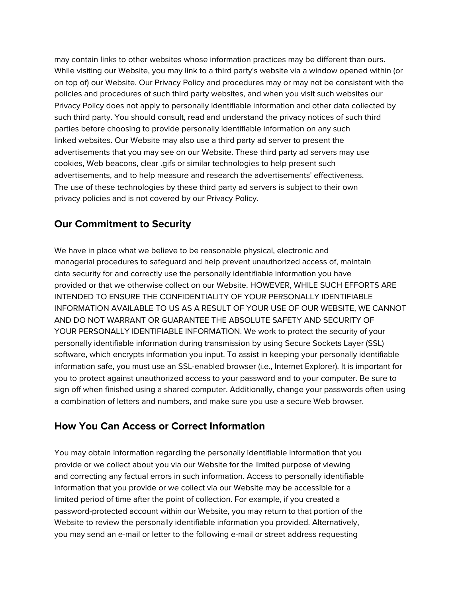may contain links to other websites whose information practices may be different than ours. While visiting our Website, you may link to a third party's website via a window opened within (or on top of) our Website. Our Privacy Policy and procedures may or may not be consistent with the policies and procedures of such third party websites, and when you visit such websites our Privacy Policy does not apply to personally identifiable information and other data collected by such third party. You should consult, read and understand the privacy notices of such third parties before choosing to provide personally identifiable information on any such linked websites. Our Website may also use a third party ad server to present the advertisements that you may see on our Website. These third party ad servers may use cookies, Web beacons, clear .gifs or similar technologies to help present such advertisements, and to help measure and research the advertisements' effectiveness. The use of these technologies by these third party ad servers is subject to their own privacy policies and is not covered by our Privacy Policy.

# **Our Commitment to Security**

We have in place what we believe to be reasonable physical, electronic and managerial procedures to safeguard and help prevent unauthorized access of, maintain data security for and correctly use the personally identifiable information you have provided or that we otherwise collect on our Website. HOWEVER, WHILE SUCH EFFORTS ARE INTENDED TO ENSURE THE CONFIDENTIALITY OF YOUR PERSONALLY IDENTIFIABLE INFORMATION AVAILABLE TO US AS A RESULT OF YOUR USE OF OUR WEBSITE, WE CANNOT AND DO NOT WARRANT OR GUARANTEE THE ABSOLUTE SAFETY AND SECURITY OF YOUR PERSONALLY IDENTIFIABLE INFORMATION. We work to protect the security of your personally identifiable information during transmission by using Secure Sockets Layer (SSL) software, which encrypts information you input. To assist in keeping your personally identifiable information safe, you must use an SSL-enabled browser (i.e., Internet Explorer). It is important for you to protect against unauthorized access to your password and to your computer. Be sure to sign off when finished using a shared computer. Additionally, change your passwords often using a combination of letters and numbers, and make sure you use a secure Web browser.

# **How You Can Access or Correct Information**

You may obtain information regarding the personally identifiable information that you provide or we collect about you via our Website for the limited purpose of viewing and correcting any factual errors in such information. Access to personally identifiable information that you provide or we collect via our Website may be accessible for a limited period of time after the point of collection. For example, if you created a password-protected account within our Website, you may return to that portion of the Website to review the personally identifiable information you provided. Alternatively, you may send an e-mail or letter to the following e-mail or street address requesting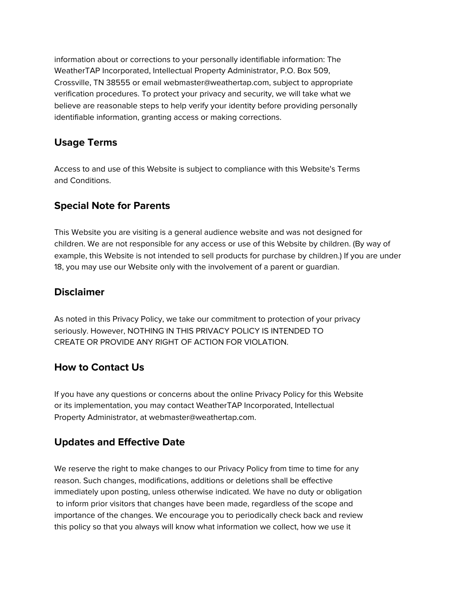information about or corrections to your personally identifiable information: The WeatherTAP Incorporated, Intellectual Property Administrator, P.O. Box 509, Crossville, TN 38555 or email webmaster@weathertap.com, subject to appropriate verification procedures. To protect your privacy and security, we will take what we believe are reasonable steps to help verify your identity before providing personally identifiable information, granting access or making corrections.

## **Usage Terms**

Access to and use of this Website is subject to compliance with this Website's Terms and Conditions.

# **Special Note for Parents**

This Website you are visiting is a general audience website and was not designed for children. We are not responsible for any access or use of this Website by children. (By way of example, this Website is not intended to sell products for purchase by children.) If you are under 18, you may use our Website only with the involvement of a parent or guardian.

#### **Disclaimer**

As noted in this Privacy Policy, we take our commitment to protection of your privacy seriously. However, NOTHING IN THIS PRIVACY POLICY IS INTENDED TO CREATE OR PROVIDE ANY RIGHT OF ACTION FOR VIOLATION.

#### **How to Contact Us**

If you have any questions or concerns about the online Privacy Policy for this Website or its implementation, you may contact WeatherTAP Incorporated, Intellectual Property Administrator, at webmaster@weathertap.com.

## **Updates and Effective Date**

We reserve the right to make changes to our Privacy Policy from time to time for any reason. Such changes, modifications, additions or deletions shall be effective immediately upon posting, unless otherwise indicated. We have no duty or obligation to inform prior visitors that changes have been made, regardless of the scope and importance of the changes. We encourage you to periodically check back and review this policy so that you always will know what information we collect, how we use it